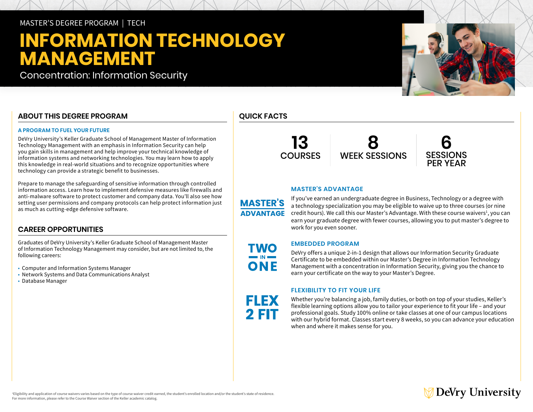## MASTER'S DEGREE PROGRAM | TECH

# **INFORMATION TECHNOLOGY MANAGEMENT**

Concentration: Information Security

### **ABOUT THIS DEGREE PROGRAM**

### **A PROGRAM TO FUEL YOUR FUTURE**

DeVry University's Keller Graduate School of Management Master of Information Technology Management with an emphasis in Information Security can help you gain skills in management and help improve your technical knowledge of information systems and networking technologies. You may learn how to apply this knowledge in real-world situations and to recognize opportunities where technology can provide a strategic benefit to businesses.

Prepare to manage the safeguarding of sensitive information through controlled information access. Learn how to implement defensive measures like firewalls and anti-malware software to protect customer and company data. You'll also see how setting user permissions and company protocols can help protect information just as much as cutting-edge defensive software.

### **CAREER OPPORTUNITIES**

Graduates of DeVry University's Keller Graduate School of Management Master of Information Technology Management may consider, but are not limited to, the following careers:

- Computer and Information Systems Manager
- Network Systems and Data Communications Analyst
- Database Manager

# **QUICK FACTS**



# **6 SESSIONS** PER YEAR

### **MASTER'S ADVANTAGE**

**MASTER'S ADVANTAGE** 

> TWO  $\blacksquare$  IN  $\blacksquare$ ONE

**FLEX** 2 FIT

If you've earned an undergraduate degree in Business, Technology or a degree with a technology specialization you may be eligible to waive up to three courses (or nine credit hours). We call this our Master's Advantage. With these course waivers<sup>1</sup>, you can earn your graduate degree with fewer courses, allowing you to put master's degree to work for you even sooner.

### **EMBEDDED PROGRAM**

DeVry offers a unique 2-in-1 design that allows our Information Security Graduate Certificate to be embedded within our Master's Degree in Information Technology Management with a concentration in Information Security, giving you the chance to earn your certificate on the way to your Master's Degree.

### **FLEXIBILITY TO FIT YOUR LIFE**

Whether you're balancing a job, family duties, or both on top of your studies, Keller's flexible learning options allow you to tailor your experience to fit your life – and your professional goals. Study 100% online or take classes at one of our campus locations with our hybrid format. Classes start every 8 weeks, so you can advance your education when and where it makes sense for you.

# DeVry University